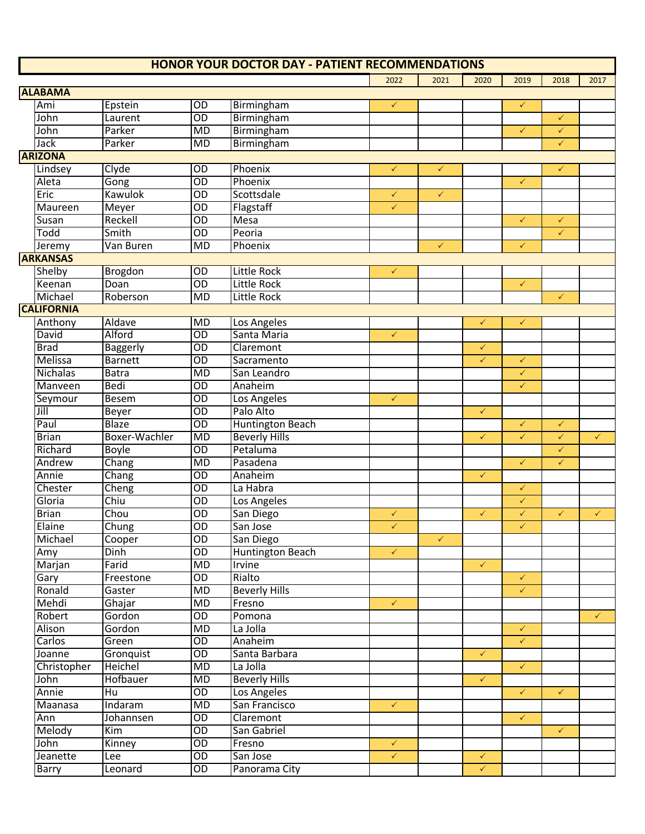|                   |                 |                 | <b>HONOR YOUR DOCTOR DAY - PATIENT RECOMMENDATIONS</b> |              |              |              |              |              |              |
|-------------------|-----------------|-----------------|--------------------------------------------------------|--------------|--------------|--------------|--------------|--------------|--------------|
|                   |                 |                 |                                                        | 2022         | 2021         | 2020         | 2019         | 2018         | 2017         |
| <b>ALABAMA</b>    |                 |                 |                                                        |              |              |              |              |              |              |
| Ami               | Epstein         | OD              | Birmingham                                             | $\checkmark$ |              |              | $\checkmark$ |              |              |
| John              | Laurent         | $\overline{OD}$ | Birmingham                                             |              |              |              |              | $\checkmark$ |              |
| John              | Parker          | MD              | Birmingham                                             |              |              |              | $\checkmark$ | $\checkmark$ |              |
| Jack              | Parker          | MD              | Birmingham                                             |              |              |              |              | $\checkmark$ |              |
| <b>ARIZONA</b>    |                 |                 |                                                        |              |              |              |              |              |              |
| Lindsey           | Clyde           | OD              | Phoenix                                                | $\checkmark$ | $\checkmark$ |              |              | $\checkmark$ |              |
| Aleta             | Gong            | $\overline{OD}$ | Phoenix                                                |              |              |              | $\checkmark$ |              |              |
| Eric              | <b>Kawulok</b>  | $\overline{OD}$ | Scottsdale                                             | $\checkmark$ | $\checkmark$ |              |              |              |              |
| Maureen           | Meyer           | $\overline{OD}$ | Flagstaff                                              | $\checkmark$ |              |              |              |              |              |
| Susan             | Reckell         | $\overline{OD}$ | <b>Mesa</b>                                            |              |              |              | $\checkmark$ | $\checkmark$ |              |
| Todd              | Smith           | OD              | Peoria                                                 |              |              |              |              | $\checkmark$ |              |
| Jeremy            | Van Buren       | MD              | Phoenix                                                |              | $\checkmark$ |              | $\checkmark$ |              |              |
| <b>ARKANSAS</b>   |                 |                 |                                                        |              |              |              |              |              |              |
| Shelby            |                 | $\overline{OD}$ | <b>Little Rock</b>                                     | $\checkmark$ |              |              |              |              |              |
| Keenan            | Brogdon         | $\overline{OD}$ | <b>Little Rock</b>                                     |              |              |              |              |              |              |
|                   | Doan            |                 |                                                        |              |              |              | $\checkmark$ |              |              |
| Michael           | Roberson        | MD              | <b>Little Rock</b>                                     |              |              |              |              | $\checkmark$ |              |
| <b>CALIFORNIA</b> |                 |                 |                                                        |              |              |              |              |              |              |
| Anthony           | Aldave          | <b>MD</b>       | Los Angeles                                            |              |              | $\checkmark$ | $\checkmark$ |              |              |
| David             | Alford          | $\overline{OD}$ | Santa Maria                                            | $\checkmark$ |              |              |              |              |              |
| <b>Brad</b>       | <b>Baggerly</b> | $\overline{OD}$ | Claremont                                              |              |              | $\checkmark$ |              |              |              |
| Melissa           | <b>Barnett</b>  | $\overline{OD}$ | Sacramento                                             |              |              | $\checkmark$ | $\checkmark$ |              |              |
| Nichalas          | <b>Batra</b>    | MD              | San Leandro                                            |              |              |              | $\checkmark$ |              |              |
| Manveen           | Bedi            | OD              | Anaheim                                                |              |              |              | $\checkmark$ |              |              |
| Seymour           | <b>Besem</b>    | $\overline{OD}$ | Los Angeles                                            | $\checkmark$ |              |              |              |              |              |
| Jill              | Beyer           | $\overline{OD}$ | Palo Alto                                              |              |              | $\checkmark$ |              |              |              |
| Paul              | <b>Blaze</b>    | $\overline{OD}$ | <b>Huntington Beach</b>                                |              |              |              | $\checkmark$ | $\checkmark$ |              |
| <b>Brian</b>      | Boxer-Wachler   | <b>MD</b>       | <b>Beverly Hills</b>                                   |              |              | $\checkmark$ | $\checkmark$ | $\checkmark$ | $\checkmark$ |
| Richard           | Boyle           | $\overline{OD}$ | Petaluma                                               |              |              |              |              | $\checkmark$ |              |
| Andrew            | Chang           | MD              | Pasadena                                               |              |              |              | $\checkmark$ | $\checkmark$ |              |
| Annie             | Chang           | $\overline{OD}$ | Anaheim                                                |              |              | $\checkmark$ |              |              |              |
| Chester           | Cheng           | OD              | La Habra                                               |              |              |              | $\checkmark$ |              |              |
| Gloria            | Chiu            | $\overline{OD}$ | Los Angeles                                            |              |              |              | $\checkmark$ |              |              |
| <b>Brian</b>      | Chou            | $\overline{OD}$ | San Diego                                              | $\checkmark$ |              | $\checkmark$ | $\checkmark$ | $\checkmark$ | $\checkmark$ |
| Elaine            | Chung           | OD              | San Jose                                               | $\checkmark$ |              |              | $\checkmark$ |              |              |
| Michael           | Cooper          | $\overline{OD}$ | San Diego                                              |              | $\sqrt{2}$   |              |              |              |              |
| Amy               | <b>Dinh</b>     | $\overline{OD}$ | <b>Huntington Beach</b>                                | $\checkmark$ |              |              |              |              |              |
| Marjan            | Farid           | <b>MD</b>       | Irvine                                                 |              |              | $\checkmark$ |              |              |              |
| Gary              | Freestone       | $\overline{OD}$ | Rialto                                                 |              |              |              | $\checkmark$ |              |              |
| Ronald            | Gaster          | <b>MD</b>       | <b>Beverly Hills</b>                                   |              |              |              | $\sqrt{2}$   |              |              |
| Mehdi             | Ghajar          | MD              | Fresno                                                 | $\checkmark$ |              |              |              |              |              |
| Robert            | Gordon          | $\overline{OD}$ | Pomona                                                 |              |              |              |              |              | $\checkmark$ |
| Alison            | Gordon          | <b>MD</b>       | La Jolla                                               |              |              |              | $\checkmark$ |              |              |
|                   |                 | $\overline{OD}$ |                                                        |              |              |              | $\checkmark$ |              |              |
| Carlos            | Green           |                 | Anaheim                                                |              |              |              |              |              |              |
| Joanne            | Gronquist       | $\overline{OD}$ | Santa Barbara                                          |              |              | $\checkmark$ |              |              |              |
| Christopher       | Heichel         | <b>MD</b>       | La Jolla                                               |              |              |              | $\checkmark$ |              |              |
| John              | Hofbauer        | MD              | <b>Beverly Hills</b>                                   |              |              | $\checkmark$ |              |              |              |
| Annie             | Hu              | $\overline{OD}$ | Los Angeles                                            |              |              |              | $\checkmark$ | $\checkmark$ |              |
| Maanasa           | Indaram         | <b>MD</b>       | San Francisco                                          | $\checkmark$ |              |              |              |              |              |
| Ann               | Johannsen       | $\overline{OD}$ | Claremont                                              |              |              |              | $\checkmark$ |              |              |
| Melody            | Kim             | $\overline{OD}$ | San Gabriel                                            |              |              |              |              | $\checkmark$ |              |
| John              | Kinney          | $\overline{OD}$ | Fresno                                                 | $\checkmark$ |              |              |              |              |              |
| Jeanette          | Lee             | $\overline{OD}$ | San Jose                                               | $\checkmark$ |              | $\checkmark$ |              |              |              |
| Barry             | Leonard         | $\overline{OD}$ | Panorama City                                          |              |              | $\checkmark$ |              |              |              |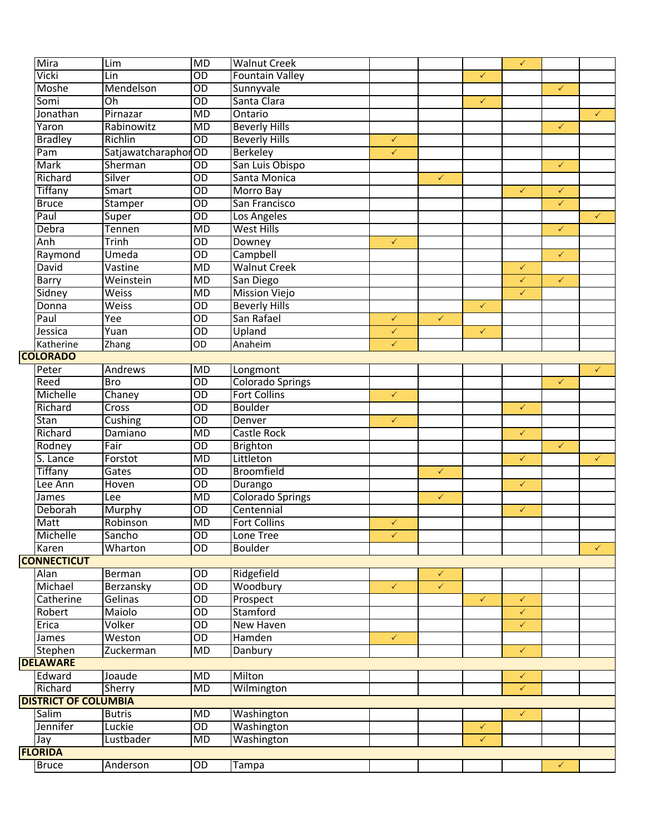| Mira                        | Lim                 | <b>MD</b>       | <b>Walnut Creek</b>     |              |              |              | $\checkmark$ |              |              |
|-----------------------------|---------------------|-----------------|-------------------------|--------------|--------------|--------------|--------------|--------------|--------------|
| Vicki                       | Lin                 | $\overline{OD}$ | <b>Fountain Valley</b>  |              |              | $\checkmark$ |              |              |              |
| Moshe                       | Mendelson           | $\overline{OD}$ | Sunnyvale               |              |              |              |              | $\checkmark$ |              |
| Somi                        | Oh                  | $\overline{OD}$ | Santa Clara             |              |              | $\checkmark$ |              |              |              |
| Jonathan                    | Pirnazar            | MD              | Ontario                 |              |              |              |              |              | $\checkmark$ |
| Yaron                       | Rabinowitz          | MD              | <b>Beverly Hills</b>    |              |              |              |              | $\checkmark$ |              |
| Bradley                     | Richlin             | $\overline{OD}$ | <b>Beverly Hills</b>    | $\checkmark$ |              |              |              |              |              |
| Pam                         | SatjawatcharaphorOD |                 | <b>Berkeley</b>         | $\checkmark$ |              |              |              |              |              |
| Mark                        | Sherman             | $\overline{OD}$ | San Luis Obispo         |              |              |              |              | $\checkmark$ |              |
| Richard                     | Silver              | $\overline{OD}$ | Santa Monica            |              | $\checkmark$ |              |              |              |              |
| <b>Tiffany</b>              | Smart               | $\overline{OD}$ | Morro Bay               |              |              |              | $\checkmark$ | $\checkmark$ |              |
| <b>Bruce</b>                | Stamper             | $\overline{OD}$ | San Francisco           |              |              |              |              | $\checkmark$ |              |
| Paul                        | Super               | $\overline{OD}$ | Los Angeles             |              |              |              |              |              | $\checkmark$ |
| Debra                       | <b>Tennen</b>       | $\overline{MD}$ | <b>West Hills</b>       |              |              |              |              | $\checkmark$ |              |
| Anh                         | Trinh               | $\overline{OD}$ | Downey                  | $\checkmark$ |              |              |              |              |              |
| Raymond                     | Umeda               | $\overline{OD}$ | Campbell                |              |              |              |              | $\checkmark$ |              |
| David                       | Vastine             | MD              | <b>Walnut Creek</b>     |              |              |              | $\checkmark$ |              |              |
| Barry                       | Weinstein           | <b>MD</b>       | San Diego               |              |              |              | $\checkmark$ | $\checkmark$ |              |
| Sidney                      | Weiss               | MD              | <b>Mission Viejo</b>    |              |              |              | $\sqrt{2}$   |              |              |
| Donna                       | <b>Weiss</b>        | $\overline{OD}$ | <b>Beverly Hills</b>    |              |              | $\checkmark$ |              |              |              |
| Paul                        | Yee                 | $\overline{OD}$ | San Rafael              | $\checkmark$ | $\checkmark$ |              |              |              |              |
| Jessica                     | Yuan                | $\overline{OD}$ | Upland                  | $\checkmark$ |              | $\checkmark$ |              |              |              |
| Katherine                   | Zhang               | $\overline{OD}$ | Anaheim                 | $\checkmark$ |              |              |              |              |              |
| <b>COLORADO</b>             |                     |                 |                         |              |              |              |              |              |              |
| Peter                       | Andrews             | MD              | Longmont                |              |              |              |              |              | $\checkmark$ |
| Reed                        | <b>Bro</b>          | $\overline{OD}$ | <b>Colorado Springs</b> |              |              |              |              | $\checkmark$ |              |
| Michelle                    | Chaney              | $\overline{OD}$ | <b>Fort Collins</b>     | $\checkmark$ |              |              |              |              |              |
| Richard                     | Cross               | $\overline{OD}$ | <b>Boulder</b>          |              |              |              | $\checkmark$ |              |              |
| Stan                        | Cushing             | $\overline{OD}$ | Denver                  | $\checkmark$ |              |              |              |              |              |
| Richard                     | Damiano             | $\overline{MD}$ | Castle Rock             |              |              |              | $\checkmark$ |              |              |
| Rodney                      | Fair                | $\overline{OD}$ | <b>Brighton</b>         |              |              |              |              | $\checkmark$ |              |
| S. Lance                    | Forstot             | $\overline{MD}$ | Littleton               |              |              |              | $\checkmark$ |              | $\checkmark$ |
| Tiffany                     | Gates               | $\overline{OD}$ | <b>Broomfield</b>       |              | $\checkmark$ |              |              |              |              |
| Lee Ann                     | Hoven               | $\overline{OD}$ | Durango                 |              |              |              | $\checkmark$ |              |              |
| James                       | Lee                 | $\overline{MD}$ | <b>Colorado Springs</b> |              | $\checkmark$ |              |              |              |              |
| Deborah                     | Murphy              | $\overline{OD}$ | Centennial              |              |              |              | $\checkmark$ |              |              |
| <b>Matt</b>                 | Robinson            | MD              | <b>Fort Collins</b>     | $\checkmark$ |              |              |              |              |              |
| Michelle                    | Sancho              | $\overline{OD}$ | Lone Tree               | $\checkmark$ |              |              |              |              |              |
| Karen                       | Wharton             | $\overline{OD}$ | <b>Boulder</b>          |              |              |              |              |              | $\checkmark$ |
| <b>CONNECTICUT</b>          |                     |                 |                         |              |              |              |              |              |              |
| <b>Alan</b>                 | Berman              | $\overline{OD}$ | Ridgefield              |              | $\checkmark$ |              |              |              |              |
| Michael                     | Berzansky           | $\overline{OD}$ | Woodbury                | $\checkmark$ | $\checkmark$ |              |              |              |              |
| Catherine                   | Gelinas             | $\overline{OD}$ | Prospect                |              |              | $\checkmark$ | $\checkmark$ |              |              |
| Robert                      | Maiolo              | $\overline{OD}$ | Stamford                |              |              |              | $\checkmark$ |              |              |
| Erica                       | Volker              | $\overline{OD}$ | New Haven               |              |              |              | $\checkmark$ |              |              |
| James                       | Weston              | $\overline{OD}$ | Hamden                  | $\checkmark$ |              |              |              |              |              |
| Stephen                     | Zuckerman           | <b>MD</b>       | Danbury                 |              |              |              | $\checkmark$ |              |              |
| <b>DELAWARE</b>             |                     |                 |                         |              |              |              |              |              |              |
| Edward                      | Joaude              | MD              | Milton                  |              |              |              | $\checkmark$ |              |              |
| Richard                     | Sherry              | MD              | Wilmington              |              |              |              | $\checkmark$ |              |              |
| <b>DISTRICT OF COLUMBIA</b> |                     |                 |                         |              |              |              |              |              |              |
| Salim                       | <b>Butris</b>       | <b>MD</b>       | Washington              |              |              |              | $\checkmark$ |              |              |
| Jennifer                    | Luckie              | $\overline{OD}$ | Washington              |              |              | $\checkmark$ |              |              |              |
| Jay                         | Lustbader           | MD              | Washington              |              |              | $\checkmark$ |              |              |              |
| <b>FLORIDA</b>              |                     |                 |                         |              |              |              |              |              |              |
| <b>Bruce</b>                | Anderson            | $\overline{OD}$ | Tampa                   |              |              |              |              | $\checkmark$ |              |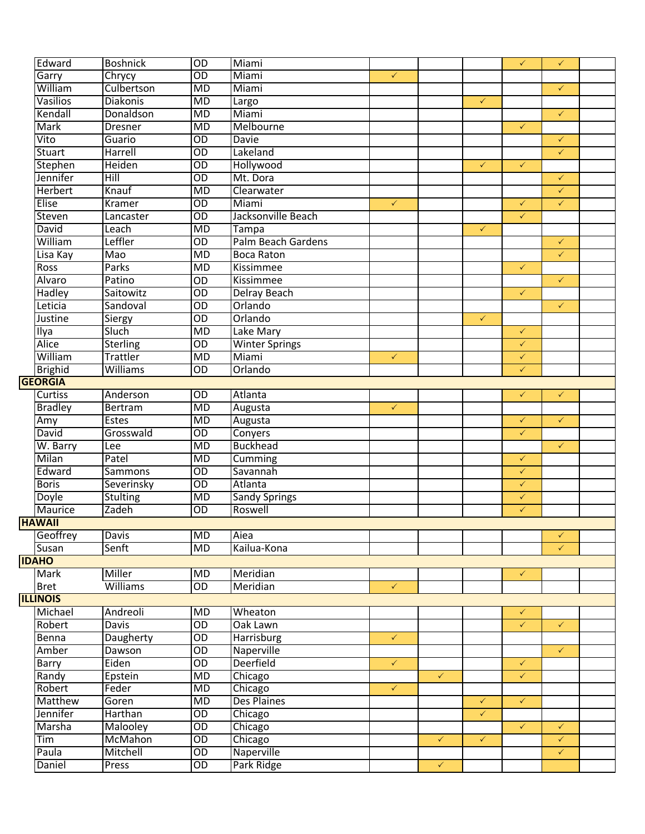| Edward          | <b>Boshnick</b> | $\overline{OD}$ | Miami                 |              |              |              | $\checkmark$ | $\checkmark$                 |  |
|-----------------|-----------------|-----------------|-----------------------|--------------|--------------|--------------|--------------|------------------------------|--|
| Garry           | Chrycy          | $\overline{OD}$ | Miami                 | $\checkmark$ |              |              |              |                              |  |
| William         | Culbertson      | <b>MD</b>       | Miami                 |              |              |              |              | $\checkmark$                 |  |
| Vasilios        | <b>Diakonis</b> | MD              | Largo                 |              |              | $\checkmark$ |              |                              |  |
| Kendall         | Donaldson       | MD              | Miami                 |              |              |              |              | $\checkmark$                 |  |
| Mark            | <b>Dresner</b>  | MD              | Melbourne             |              |              |              | $\checkmark$ |                              |  |
| Vito            | Guario          |                 | <b>Davie</b>          |              |              |              |              |                              |  |
| Stuart          |                 | $\overline{OD}$ |                       |              |              |              |              | $\checkmark$                 |  |
|                 | Harrell         | $\overline{OD}$ | Lakeland              |              |              |              |              | $\checkmark$                 |  |
| <b>Stephen</b>  | Heiden          | $\overline{OD}$ | Hollywood             |              |              | $\checkmark$ | $\checkmark$ |                              |  |
| Jennifer        | Hill            | $\overline{OD}$ | Mt. Dora              |              |              |              |              | $\checkmark$                 |  |
| Herbert         | Knauf           | <b>MD</b>       | Clearwater            |              |              |              |              | $\checkmark$                 |  |
| Elise           | Kramer          | $\overline{OD}$ | Miami                 | $\checkmark$ |              |              | $\checkmark$ | $\checkmark$                 |  |
| Steven          | Lancaster       | $\overline{OD}$ | Jacksonville Beach    |              |              |              | $\checkmark$ |                              |  |
| David           | Leach           | MD              | Tampa                 |              |              | $\checkmark$ |              |                              |  |
| William         | Leffler         | $\overline{OD}$ | Palm Beach Gardens    |              |              |              |              | $\checkmark$                 |  |
| Lisa Kay        | Mao             | <b>MD</b>       | <b>Boca Raton</b>     |              |              |              |              | $\checkmark$                 |  |
| <b>Ross</b>     | <b>Parks</b>    | <b>MD</b>       | <b>Kissimmee</b>      |              |              |              | $\checkmark$ |                              |  |
| Alvaro          | Patino          | OD              | Kissimmee             |              |              |              |              | $\checkmark$                 |  |
| <b>Hadley</b>   | Saitowitz       | $\overline{OD}$ | <b>Delray Beach</b>   |              |              |              | $\checkmark$ |                              |  |
| Leticia         | Sandoval        | $\overline{OD}$ | Orlando               |              |              |              |              | $\checkmark$                 |  |
| Justine         | Siergy          | $\overline{OD}$ | Orlando               |              |              | $\checkmark$ |              |                              |  |
| Ilya            | <b>Sluch</b>    | <b>MD</b>       | Lake Mary             |              |              |              | $\checkmark$ |                              |  |
| Alice           | <b>Sterling</b> | $\overline{OD}$ | <b>Winter Springs</b> |              |              |              | $\sqrt{2}$   |                              |  |
| William         | Trattler        | <b>MD</b>       | Miami                 | $\checkmark$ |              |              | $\sqrt{2}$   |                              |  |
| <b>Brighid</b>  | Williams        | $\overline{OD}$ | Orlando               |              |              |              | $\checkmark$ |                              |  |
| <b>GEORGIA</b>  |                 |                 |                       |              |              |              |              |                              |  |
| <b>Curtiss</b>  | Anderson        | $\overline{OD}$ | Atlanta               |              |              |              | $\checkmark$ | $\checkmark$                 |  |
| <b>Bradley</b>  | Bertram         | <b>MD</b>       | Augusta               | $\checkmark$ |              |              |              |                              |  |
| Amy             | <b>Estes</b>    | MD              | Augusta               |              |              |              | $\checkmark$ | $\checkmark$                 |  |
| David           | Grosswald       | $\overline{OD}$ | Conyers               |              |              |              | $\checkmark$ |                              |  |
| W. Barry        | Lee             | <b>MD</b>       | <b>Buckhead</b>       |              |              |              |              | $\checkmark$                 |  |
| Milan           | Patel           | MD              | Cumming               |              |              |              | $\checkmark$ |                              |  |
| Edward          | Sammons         | $\overline{OD}$ | Savannah              |              |              |              | $\checkmark$ |                              |  |
| <b>Boris</b>    | Severinsky      | $\overline{OD}$ | Atlanta               |              |              |              | $\checkmark$ |                              |  |
| Doyle           | <b>Stulting</b> | MD              | Sandy Springs         |              |              |              | $\checkmark$ |                              |  |
| <b>Maurice</b>  | Zadeh           | $\overline{OD}$ | Roswell               |              |              |              | $\checkmark$ |                              |  |
| <b>HAWAII</b>   |                 |                 |                       |              |              |              |              |                              |  |
| Geoffrey        | <b>Davis</b>    | <b>MD</b>       | Aiea                  |              |              |              |              | $\checkmark$                 |  |
| Susan           | Senft           | MD              | Kailua-Kona           |              |              |              |              | $\checkmark$                 |  |
| <b>IDAHO</b>    |                 |                 |                       |              |              |              |              |                              |  |
| <b>Mark</b>     | Miller          | MD              | Meridian              |              |              |              | $\checkmark$ |                              |  |
| <b>Bret</b>     | Williams        | $\overline{OD}$ | Meridian              | $\checkmark$ |              |              |              |                              |  |
| <b>ILLINOIS</b> |                 |                 |                       |              |              |              |              |                              |  |
| Michael         | Andreoli        | MD              | Wheaton               |              |              |              | $\checkmark$ |                              |  |
| Robert          | <b>Davis</b>    | $\overline{OD}$ | Oak Lawn              |              |              |              | $\checkmark$ | $\checkmark$                 |  |
| Benna           | Daugherty       | $\overline{OD}$ | <b>Harrisburg</b>     | $\checkmark$ |              |              |              |                              |  |
| Amber           | Dawson          | $\overline{OD}$ | Naperville            |              |              |              |              | $\checkmark$                 |  |
| Barry           | Eiden           | $\overline{OD}$ | <b>Deerfield</b>      | $\checkmark$ |              |              | $\checkmark$ |                              |  |
| Randy           | Epstein         | MD              | Chicago               |              | $\checkmark$ |              | $\checkmark$ |                              |  |
| Robert          | Feder           | MD              | Chicago               | $\checkmark$ |              |              |              |                              |  |
| Matthew         | Goren           | MD              | <b>Des Plaines</b>    |              |              | $\checkmark$ | $\checkmark$ |                              |  |
| Jennifer        | Harthan         | $\overline{OD}$ |                       |              |              | $\checkmark$ |              |                              |  |
| Marsha          | <b>Malooley</b> | $\overline{OD}$ | Chicago               |              |              |              | $\checkmark$ |                              |  |
| Tim             | <b>McMahon</b>  | $\overline{OD}$ | Chicago               |              | $\checkmark$ | $\checkmark$ |              | $\checkmark$                 |  |
| Paula           | Mitchell        | $\overline{OD}$ | Chicago<br>Naperville |              |              |              |              | $\checkmark$<br>$\checkmark$ |  |
|                 |                 |                 |                       |              |              |              |              |                              |  |
| Daniel          | Press           | $\overline{OD}$ | Park Ridge            |              | $\checkmark$ |              |              |                              |  |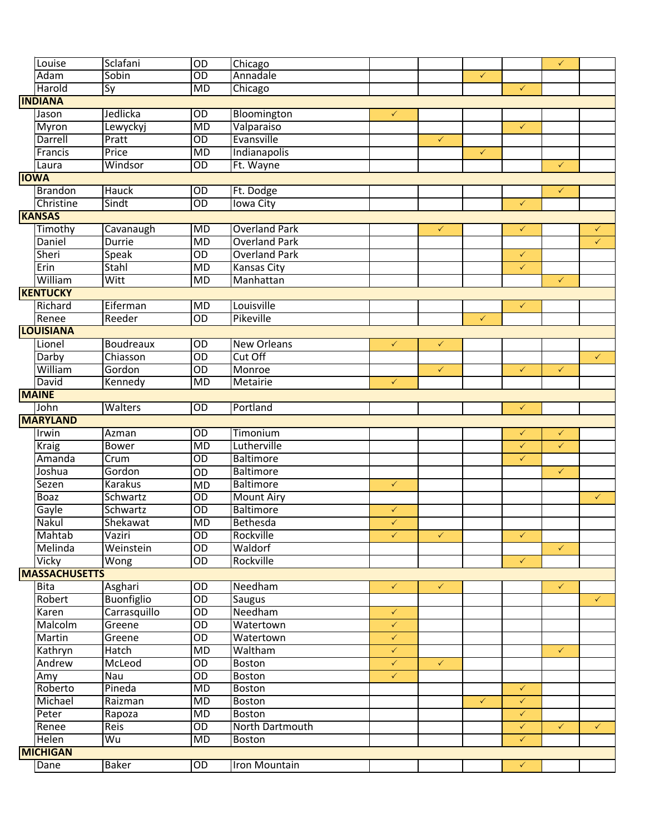| Louise               | Sclafani          | OD              | Chicago              |              |              |              |              | $\checkmark$ |              |
|----------------------|-------------------|-----------------|----------------------|--------------|--------------|--------------|--------------|--------------|--------------|
| Adam                 | Sobin             | $\overline{OD}$ | Annadale             |              |              | $\checkmark$ |              |              |              |
| Harold               | Sy                | <b>MD</b>       | Chicago              |              |              |              | $\checkmark$ |              |              |
| <b>INDIANA</b>       |                   |                 |                      |              |              |              |              |              |              |
| Jason                | Jedlicka          | $\overline{OD}$ | Bloomington          | $\checkmark$ |              |              |              |              |              |
| Myron                | Lewyckyj          | $\overline{MD}$ | Valparaiso           |              |              |              | $\checkmark$ |              |              |
| Darrell              | Pratt             | $\overline{OD}$ | Evansville           |              | $\checkmark$ |              |              |              |              |
| Francis              | Price             | $\overline{MD}$ | Indianapolis         |              |              | $\checkmark$ |              |              |              |
| Laura                | Windsor           | $\overline{OD}$ | Ft. Wayne            |              |              |              |              | $\checkmark$ |              |
| <b>IOWA</b>          |                   |                 |                      |              |              |              |              |              |              |
| <b>Brandon</b>       | <b>Hauck</b>      | $\overline{OD}$ | Ft. Dodge            |              |              |              |              | $\checkmark$ |              |
| Christine            | Sindt             | $\overline{OD}$ | <b>Iowa City</b>     |              |              |              | $\checkmark$ |              |              |
| <b>KANSAS</b>        |                   |                 |                      |              |              |              |              |              |              |
| Timothy              | Cavanaugh         | <b>MD</b>       | <b>Overland Park</b> |              | $\checkmark$ |              | $\checkmark$ |              | ✓            |
| Daniel               | <b>Durrie</b>     | $\overline{MD}$ | <b>Overland Park</b> |              |              |              |              |              | $\checkmark$ |
| Sheri                | <b>Speak</b>      | $\overline{OD}$ | <b>Overland Park</b> |              |              |              | $\checkmark$ |              |              |
| Erin                 | Stahl             | $\overline{MD}$ | Kansas City          |              |              |              | $\checkmark$ |              |              |
| William              | Witt              | <b>MD</b>       | Manhattan            |              |              |              |              | $\checkmark$ |              |
| <b>KENTUCKY</b>      |                   |                 |                      |              |              |              |              |              |              |
| Richard              | Eiferman          | $\overline{MD}$ | Louisville           |              |              |              | $\checkmark$ |              |              |
| Renee                | Reeder            | $\overline{OD}$ | Pikeville            |              |              | $\checkmark$ |              |              |              |
| <b>LOUISIANA</b>     |                   |                 |                      |              |              |              |              |              |              |
| Lionel               | <b>Boudreaux</b>  | $\overline{OD}$ | <b>New Orleans</b>   | $\checkmark$ | $\checkmark$ |              |              |              |              |
| Darby                | Chiasson          | $\overline{OD}$ | Cut Off              |              |              |              |              |              | $\checkmark$ |
| William              | Gordon            | OD              | Monroe               |              | $\checkmark$ |              | $\checkmark$ | $\checkmark$ |              |
| David                | Kennedy           | <b>MD</b>       | Metairie             | $\checkmark$ |              |              |              |              |              |
| <b>MAINE</b>         |                   |                 |                      |              |              |              |              |              |              |
| John                 | Walters           | $\overline{OD}$ | Portland             |              |              |              | $\checkmark$ |              |              |
| <b>MARYLAND</b>      |                   |                 |                      |              |              |              |              |              |              |
| Irwin                | Azman             | $\overline{OD}$ | Timonium             |              |              |              | $\checkmark$ | ✓            |              |
| <b>Kraig</b>         | <b>Bower</b>      | $\overline{MD}$ | Lutherville          |              |              |              | $\checkmark$ | $\checkmark$ |              |
| Amanda               | Crum              | OD              | <b>Baltimore</b>     |              |              |              | $\checkmark$ |              |              |
| Joshua               | Gordon            | OD              | <b>Baltimore</b>     |              |              |              |              | $\checkmark$ |              |
| Sezen                | <b>Karakus</b>    | <b>MD</b>       | <b>Baltimore</b>     | $\checkmark$ |              |              |              |              |              |
| Boaz                 | Schwartz          | $\overline{OD}$ | <b>Mount Airy</b>    |              |              |              |              |              | $\checkmark$ |
| Gayle                | Schwartz          | $\overline{OD}$ | <b>Baltimore</b>     | $\checkmark$ |              |              |              |              |              |
| Nakul                | Shekawat          | <b>MD</b>       | Bethesda             | $\checkmark$ |              |              |              |              |              |
| Mahtab               | Vaziri            | $\overline{OD}$ | Rockville            | $\checkmark$ | $\checkmark$ |              | $\checkmark$ |              |              |
| Melinda              | Weinstein         | $\overline{OD}$ | Waldorf              |              |              |              |              | $\checkmark$ |              |
| Vicky                | Wong              | OD              | Rockville            |              |              |              | $\checkmark$ |              |              |
| <b>MASSACHUSETTS</b> |                   |                 |                      |              |              |              |              |              |              |
| <b>Bita</b>          | Asghari           | $\overline{OD}$ | Needham              | $\checkmark$ | $\checkmark$ |              |              | $\checkmark$ |              |
| Robert               | <b>Buonfiglio</b> | $\overline{OD}$ | <b>Saugus</b>        |              |              |              |              |              | $\checkmark$ |
| Karen                | Carrasquillo      | $\overline{OD}$ | Needham              | $\checkmark$ |              |              |              |              |              |
| Malcolm              | Greene            | $\overline{OD}$ | Watertown            | $\checkmark$ |              |              |              |              |              |
| Martin               | Greene            | $\overline{OD}$ | Watertown            | $\checkmark$ |              |              |              |              |              |
| Kathryn              | Hatch             | <b>MD</b>       | Waltham              | $\checkmark$ |              |              |              | $\checkmark$ |              |
| Andrew               | McLeod            | OD              | Boston               | $\checkmark$ | $\checkmark$ |              |              |              |              |
| Amy                  | Nau               | OD              | Boston               | $\checkmark$ |              |              |              |              |              |
| Roberto              | Pineda            | <b>MD</b>       | <b>Boston</b>        |              |              |              | $\checkmark$ |              |              |
| Michael              | Raizman           | <b>MD</b>       | <b>Boston</b>        |              |              | $\checkmark$ | $\checkmark$ |              |              |
| Peter                | Rapoza            | <b>MD</b>       | Boston               |              |              |              | $\checkmark$ |              |              |
| Renee                | Reis              | OD              | North Dartmouth      |              |              |              | $\checkmark$ | $\checkmark$ | $\checkmark$ |
| Helen                | Wu                | MD              | Boston               |              |              |              | $\checkmark$ |              |              |
| <b>MICHIGAN</b>      |                   |                 |                      |              |              |              |              |              |              |
| Dane                 | <b>Baker</b>      | $\overline{OD}$ | Iron Mountain        |              |              |              | $\checkmark$ |              |              |
|                      |                   |                 |                      |              |              |              |              |              |              |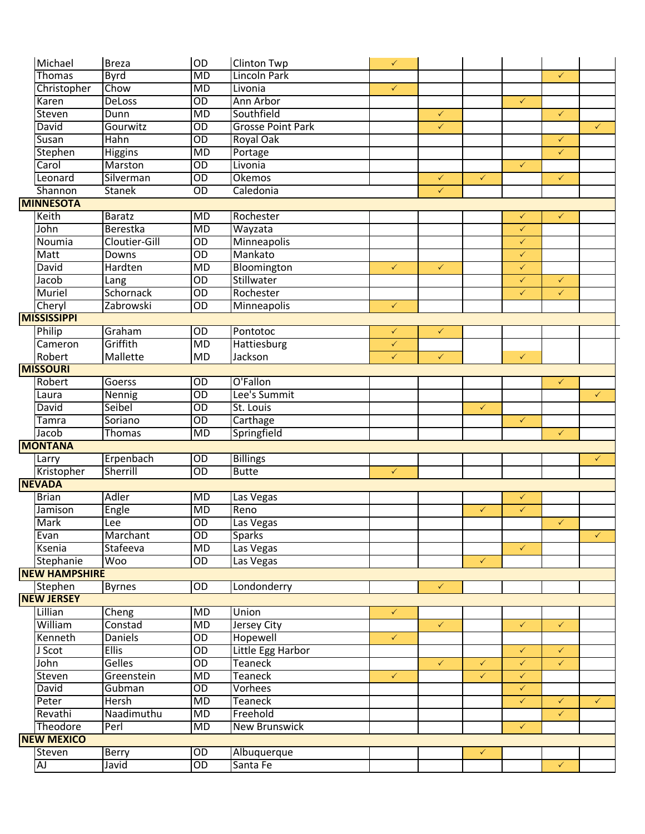| Michael              | <b>Breza</b>   | OD              | <b>Clinton Twp</b>       | $\checkmark$ |              |              |              |              |              |
|----------------------|----------------|-----------------|--------------------------|--------------|--------------|--------------|--------------|--------------|--------------|
| Thomas               | <b>Byrd</b>    | MD              | <b>Lincoln Park</b>      |              |              |              |              | $\checkmark$ |              |
| Christopher          | Chow           | <b>MD</b>       | Livonia                  | $\checkmark$ |              |              |              |              |              |
| Karen                | <b>DeLoss</b>  | $\overline{OD}$ | Ann Arbor                |              |              |              | $\checkmark$ |              |              |
| Steven               | Dunn           | <b>MD</b>       | Southfield               |              | $\checkmark$ |              |              | $\checkmark$ |              |
| David                | Gourwitz       | $\overline{OD}$ | <b>Grosse Point Park</b> |              | $\checkmark$ |              |              |              | $\checkmark$ |
| Susan                | Hahn           | $\overline{OD}$ | <b>Royal Oak</b>         |              |              |              |              | $\checkmark$ |              |
| Stephen              | Higgins        | MD              | Portage                  |              |              |              |              | $\checkmark$ |              |
| Carol                | Marston        | $\overline{OD}$ | Livonia                  |              |              |              | $\checkmark$ |              |              |
| Leonard              | Silverman      | $\overline{OD}$ | Okemos                   |              | $\checkmark$ | $\checkmark$ |              | $\checkmark$ |              |
| Shannon              | <b>Stanek</b>  | $\overline{OD}$ | Caledonia                |              | $\checkmark$ |              |              |              |              |
| <b>MINNESOTA</b>     |                |                 |                          |              |              |              |              |              |              |
| Keith                | <b>Baratz</b>  | MD              | Rochester                |              |              |              | $\checkmark$ | $\checkmark$ |              |
| John                 | Berestka       | <b>MD</b>       | Wayzata                  |              |              |              | $\checkmark$ |              |              |
| Noumia               | Cloutier-Gill  | $\overline{OD}$ | Minneapolis              |              |              |              | $\checkmark$ |              |              |
| Matt                 | Downs          | $\overline{OD}$ | Mankato                  |              |              |              | $\checkmark$ |              |              |
| David                | Hardten        | <b>MD</b>       | Bloomington              | $\checkmark$ | $\checkmark$ |              | $\checkmark$ |              |              |
| Jacob                | Lang           | $\overline{OD}$ | Stillwater               |              |              |              | $\checkmark$ | $\checkmark$ |              |
| <b>Muriel</b>        | Schornack      | $\overline{OD}$ | Rochester                |              |              |              | $\checkmark$ | $\checkmark$ |              |
| Cheryl               | Zabrowski      | $\overline{OD}$ | Minneapolis              | $\checkmark$ |              |              |              |              |              |
| <b>MISSISSIPPI</b>   |                |                 |                          |              |              |              |              |              |              |
| Philip               | Graham         | $\overline{OD}$ | Pontotoc                 | $\checkmark$ | $\checkmark$ |              |              |              |              |
| Cameron              | Griffith       | <b>MD</b>       | Hattiesburg              | $\checkmark$ |              |              |              |              |              |
| Robert               | Mallette       | <b>MD</b>       | Jackson                  | $\checkmark$ | $\checkmark$ |              | $\checkmark$ |              |              |
| <b>MISSOURI</b>      |                |                 |                          |              |              |              |              |              |              |
| Robert               | Goerss         | OD              | O'Fallon                 |              |              |              |              | $\checkmark$ |              |
| Laura                | Nennig         | $\overline{OD}$ | Lee's Summit             |              |              |              |              |              | $\checkmark$ |
| David                | Seibel         | $\overline{OD}$ | St. Louis                |              |              | $\checkmark$ |              |              |              |
| Tamra                | Soriano        | $\overline{OD}$ | Carthage                 |              |              |              | $\checkmark$ |              |              |
| Jacob                | Thomas         | <b>MD</b>       | Springfield              |              |              |              |              | $\checkmark$ |              |
| <b>MONTANA</b>       |                |                 |                          |              |              |              |              |              |              |
| Larry                | Erpenbach      | OD              | <b>Billings</b>          |              |              |              |              |              | $\checkmark$ |
| Kristopher           | Sherrill       | $\overline{OD}$ | <b>Butte</b>             | $\checkmark$ |              |              |              |              |              |
| <b>NEVADA</b>        |                |                 |                          |              |              |              |              |              |              |
| <b>Brian</b>         | <b>Adler</b>   | <b>MD</b>       | Las Vegas                |              |              |              | $\checkmark$ |              |              |
| Jamison              | Engle          | MD              | Reno                     |              |              | $\checkmark$ | $\checkmark$ |              |              |
| <b>Mark</b>          | Lee            | $\overline{OD}$ | Las Vegas                |              |              |              |              | $\checkmark$ |              |
| Evan                 | Marchant       | $\overline{OD}$ | <b>Sparks</b>            |              |              |              |              |              | $\checkmark$ |
| Ksenia               | Stafeeva       | MD              | Las Vegas                |              |              |              | $\checkmark$ |              |              |
| Stephanie            | <b>Woo</b>     | $\overline{OD}$ | Las Vegas                |              |              | $\checkmark$ |              |              |              |
| <b>NEW HAMPSHIRE</b> |                |                 |                          |              |              |              |              |              |              |
| Stephen              | <b>Byrnes</b>  | $\overline{OD}$ | Londonderry              |              | $\checkmark$ |              |              |              |              |
| <b>NEW JERSEY</b>    |                |                 |                          |              |              |              |              |              |              |
| Lillian              | Cheng          | <b>MD</b>       | Union                    | $\checkmark$ |              |              |              |              |              |
| William              | Constad        | <b>MD</b>       | <b>Jersey City</b>       |              | $\checkmark$ |              | $\checkmark$ | $\checkmark$ |              |
| Kenneth              | <b>Daniels</b> | $\overline{OD}$ | Hopewell                 | $\checkmark$ |              |              |              |              |              |
| J Scot               | <b>Ellis</b>   | $\overline{OD}$ | Little Egg Harbor        |              |              |              | $\checkmark$ | $\checkmark$ |              |
| John                 | <b>Gelles</b>  | $\overline{OD}$ | Teaneck                  |              | $\checkmark$ | $\checkmark$ | $\checkmark$ | $\checkmark$ |              |
| Steven               | Greenstein     | <b>MD</b>       | <b>Teaneck</b>           | $\checkmark$ |              | $\checkmark$ | $\checkmark$ |              |              |
| David                | Gubman         | OD              | Vorhees                  |              |              |              | $\checkmark$ |              |              |
| Peter                | <b>Hersh</b>   | MD              | <b>Teaneck</b>           |              |              |              | $\checkmark$ | $\checkmark$ | $\checkmark$ |
| Revathi              | Naadimuthu     | MD              | Freehold                 |              |              |              |              | $\checkmark$ |              |
| <b>Theodore</b>      | Perl           | <b>MD</b>       | <b>New Brunswick</b>     |              |              |              | $\checkmark$ |              |              |
| <b>NEW MEXICO</b>    |                |                 |                          |              |              |              |              |              |              |
| <b>Steven</b>        | Berry          | $\overline{OD}$ | Albuquerque              |              |              | $\checkmark$ |              |              |              |
| <b>AJ</b>            | Javid          | OD              | Santa Fe                 |              |              |              |              | $\checkmark$ |              |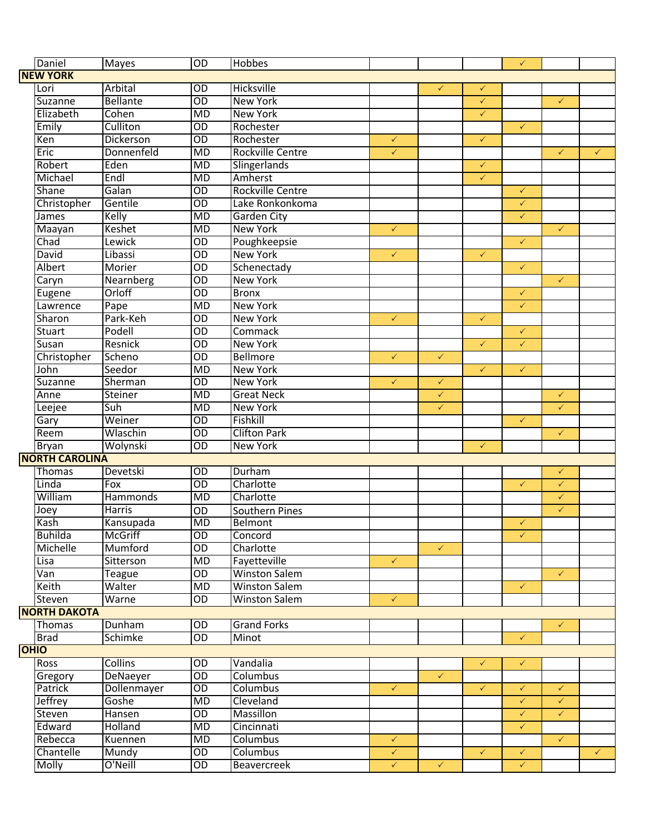| Daniel                | <b>Mayes</b>     | $\overline{OD}$ | Hobbes                  |              |              |              | $\checkmark$ |              |              |
|-----------------------|------------------|-----------------|-------------------------|--------------|--------------|--------------|--------------|--------------|--------------|
| <b>NEW YORK</b>       |                  |                 |                         |              |              |              |              |              |              |
| Lori                  | Arbital          | $\overline{OD}$ | Hicksville              |              | $\checkmark$ | $\checkmark$ |              |              |              |
| Suzanne               | <b>Bellante</b>  | OD              | <b>New York</b>         |              |              | $\checkmark$ |              | $\checkmark$ |              |
| Elizabeth             | Cohen            | <b>MD</b>       | <b>New York</b>         |              |              | $\checkmark$ |              |              |              |
| Emily                 | Culliton         | $\overline{OD}$ | Rochester               |              |              |              | $\checkmark$ |              |              |
| Ken                   | <b>Dickerson</b> | $\overline{OD}$ | Rochester               | $\checkmark$ |              | $\checkmark$ |              |              |              |
| Eric                  | Donnenfeld       | MD              | <b>Rockville Centre</b> | $\checkmark$ |              |              |              | $\checkmark$ | $\checkmark$ |
| Robert                | Eden             | MD              | Slingerlands            |              |              | $\checkmark$ |              |              |              |
| Michael               | Endl             | MD              | Amherst                 |              |              | $\checkmark$ |              |              |              |
| Shane                 | Galan            | $\overline{OD}$ | Rockville Centre        |              |              |              | $\checkmark$ |              |              |
| Christopher           | Gentile          | $\overline{OD}$ | Lake Ronkonkoma         |              |              |              | $\checkmark$ |              |              |
| James                 | Kelly            | <b>MD</b>       | Garden City             |              |              |              | $\checkmark$ |              |              |
| Maayan                | Keshet           | MD              | <b>New York</b>         | $\checkmark$ |              |              |              | $\checkmark$ |              |
| Chad                  | Lewick           | $\overline{OD}$ | Poughkeepsie            |              |              |              | $\checkmark$ |              |              |
| David                 | Libassi          | $\overline{OD}$ | <b>New York</b>         | $\checkmark$ |              | $\checkmark$ |              |              |              |
| Albert                | Morier           | $\overline{OD}$ | Schenectady             |              |              |              | $\checkmark$ |              |              |
| Caryn                 | Nearnberg        | $\overline{OD}$ | <b>New York</b>         |              |              |              |              | $\checkmark$ |              |
| Eugene                | Orloff           | $\overline{OD}$ | <b>Bronx</b>            |              |              |              | $\checkmark$ |              |              |
| Lawrence              | Pape             | MD              | <b>New York</b>         |              |              |              | $\checkmark$ |              |              |
| Sharon                | Park-Keh         | $\overline{OD}$ | <b>New York</b>         | $\checkmark$ |              | $\checkmark$ |              |              |              |
| Stuart                | Podell           | $\overline{OD}$ | Commack                 |              |              |              | $\checkmark$ |              |              |
| Susan                 | Resnick          | $\overline{OD}$ | <b>New York</b>         |              |              | $\checkmark$ | $\checkmark$ |              |              |
| Christopher           | Scheno           | $\overline{OD}$ | <b>Bellmore</b>         | $\checkmark$ | $\checkmark$ |              |              |              |              |
| John                  | Seedor           | MD              | <b>New York</b>         |              |              | $\checkmark$ | $\checkmark$ |              |              |
| Suzanne               | Sherman          | $\overline{OD}$ | <b>New York</b>         | $\checkmark$ | $\checkmark$ |              |              |              |              |
| Anne                  | Steiner          | MD              | <b>Great Neck</b>       |              | $\checkmark$ |              |              | $\checkmark$ |              |
| Leejee                | Suh              | MD              | <b>New York</b>         |              | $\checkmark$ |              |              | $\checkmark$ |              |
| Gary                  | Weiner           | $\overline{OD}$ | Fishkill                |              |              |              | $\checkmark$ |              |              |
| Reem                  | Wlaschin         | $\overline{OD}$ | <b>Clifton Park</b>     |              |              |              |              | $\checkmark$ |              |
| <b>Bryan</b>          | Wolynski         | $\overline{OD}$ | <b>New York</b>         |              |              | $\checkmark$ |              |              |              |
| <b>NORTH CAROLINA</b> |                  |                 |                         |              |              |              |              |              |              |
| Thomas                | Devetski         | $\overline{OD}$ | Durham                  |              |              |              |              | $\checkmark$ |              |
| Linda                 | Fox              | $\overline{OD}$ | Charlotte               |              |              |              | $\checkmark$ | $\checkmark$ |              |
| William               | Hammonds         | MD              | Charlotte               |              |              |              |              | $\checkmark$ |              |
| Joey                  | Harris           | OD              | <b>Southern Pines</b>   |              |              |              |              | $\checkmark$ |              |
| Kash                  | Kansupada        | <b>MD</b>       | Belmont                 |              |              |              | $\checkmark$ |              |              |
| <b>Buhilda</b>        | <b>McGriff</b>   | $\overline{OD}$ | Concord                 |              |              |              | $\checkmark$ |              |              |
| Michelle              | Mumford          | $\overline{OD}$ | Charlotte               |              | $\checkmark$ |              |              |              |              |
| Lisa                  | Sitterson        | <b>MD</b>       | Fayetteville            | $\checkmark$ |              |              |              |              |              |
| Van                   | Teague           | $\overline{OD}$ | <b>Winston Salem</b>    |              |              |              |              | $\checkmark$ |              |
| Keith                 | Walter           | MD              | <b>Winston Salem</b>    |              |              |              | $\checkmark$ |              |              |
| Steven                | Warne            | OD              | <b>Winston Salem</b>    | $\checkmark$ |              |              |              |              |              |
| <b>NORTH DAKOTA</b>   |                  |                 |                         |              |              |              |              |              |              |
| Thomas                | Dunham           | $\overline{OD}$ | <b>Grand Forks</b>      |              |              |              |              | $\checkmark$ |              |
| <b>Brad</b>           | Schimke          | OD              | Minot                   |              |              |              | $\checkmark$ |              |              |
| <b>OHIO</b>           |                  |                 |                         |              |              |              |              |              |              |
| Ross                  | <b>Collins</b>   | $\overline{OD}$ | Vandalia                |              |              | $\checkmark$ | $\checkmark$ |              |              |
| Gregory               | DeNaeyer         | $\overline{OD}$ | Columbus                |              | $\checkmark$ |              |              |              |              |
| Patrick               | Dollenmayer      | $\overline{OD}$ | Columbus                | $\checkmark$ |              | $\checkmark$ | $\checkmark$ | $\checkmark$ |              |
| <b>Jeffrey</b>        | Goshe            | MD              | Cleveland               |              |              |              | $\checkmark$ | $\checkmark$ |              |
| Steven                | Hansen           | $\overline{OD}$ | <b>Massillon</b>        |              |              |              | $\checkmark$ | $\checkmark$ |              |
| Edward                | Holland          | MD              | Cincinnati              |              |              |              | $\checkmark$ |              |              |
| Rebecca               | Kuennen          | MD              | Columbus                | $\checkmark$ |              |              |              | $\checkmark$ |              |
| Chantelle             | Mundy            | OD              | Columbus                | $\checkmark$ |              | $\checkmark$ | $\checkmark$ |              | $\checkmark$ |
| Molly                 | O'Neill          | OD              | Beavercreek             | $\checkmark$ | $\checkmark$ |              | $\checkmark$ |              |              |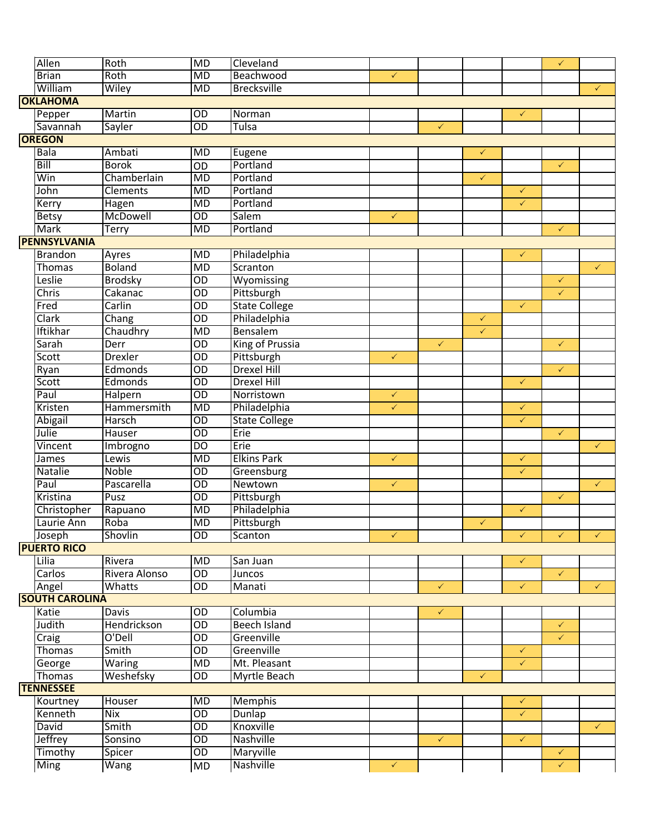| Allen                 | Roth           | MD              | Cleveland            |              |              |              |              | $\checkmark$ |              |
|-----------------------|----------------|-----------------|----------------------|--------------|--------------|--------------|--------------|--------------|--------------|
| <b>Brian</b>          | Roth           | MD              | Beachwood            | $\checkmark$ |              |              |              |              |              |
| William               | Wiley          | $\overline{MD}$ | <b>Brecksville</b>   |              |              |              |              |              | $\checkmark$ |
| <b>OKLAHOMA</b>       |                |                 |                      |              |              |              |              |              |              |
| Pepper                | Martin         | $\overline{OD}$ | Norman               |              |              |              | $\checkmark$ |              |              |
| Savannah              | Sayler         | $\overline{OD}$ | Tulsa                |              | $\checkmark$ |              |              |              |              |
| <b>OREGON</b>         |                |                 |                      |              |              |              |              |              |              |
| <b>Bala</b>           | Ambati         | $\overline{MD}$ | Eugene               |              |              | $\checkmark$ |              |              |              |
| Bill                  | <b>Borok</b>   | $\overline{OD}$ | Portland             |              |              |              |              | $\checkmark$ |              |
| Win                   | Chamberlain    | <b>MD</b>       | Portland             |              |              | $\checkmark$ |              |              |              |
| John                  | Clements       | MD              | Portland             |              |              |              | $\checkmark$ |              |              |
| Kerry                 | Hagen          | MD              | Portland             |              |              |              | $\checkmark$ |              |              |
| <b>Betsy</b>          | McDowell       | $\overline{OD}$ | Salem                | $\checkmark$ |              |              |              |              |              |
| <b>Mark</b>           | Terry          | MD              | Portland             |              |              |              |              | $\checkmark$ |              |
| <b>PENNSYLVANIA</b>   |                |                 |                      |              |              |              |              |              |              |
| <b>Brandon</b>        | Ayres          | $\overline{MD}$ | Philadelphia         |              |              |              | $\checkmark$ |              |              |
| Thomas                | <b>Boland</b>  | MD              | Scranton             |              |              |              |              |              | $\checkmark$ |
| Leslie                | <b>Brodsky</b> | $\overline{OD}$ | Wyomissing           |              |              |              |              | $\checkmark$ |              |
| Chris                 | Cakanac        | $\overline{OD}$ | Pittsburgh           |              |              |              |              | $\checkmark$ |              |
| Fred                  | Carlin         | $\overline{OD}$ | <b>State College</b> |              |              |              | $\checkmark$ |              |              |
| Clark                 | Chang          | $\overline{OD}$ | Philadelphia         |              |              | $\checkmark$ |              |              |              |
| Iftikhar              | Chaudhry       | <b>MD</b>       | Bensalem             |              |              | $\checkmark$ |              |              |              |
| Sarah                 | Derr           | $\overline{OD}$ | King of Prussia      |              | $\checkmark$ |              |              | $\checkmark$ |              |
| Scott                 | <b>Drexler</b> | $\overline{OD}$ | Pittsburgh           | $\checkmark$ |              |              |              |              |              |
| Ryan                  | Edmonds        | $\overline{OD}$ | <b>Drexel Hill</b>   |              |              |              |              | $\checkmark$ |              |
| Scott                 | Edmonds        | $\overline{OD}$ | <b>Drexel Hill</b>   |              |              |              | $\checkmark$ |              |              |
| Paul                  | Halpern        | $\overline{OD}$ | Norristown           | $\checkmark$ |              |              |              |              |              |
| Kristen               | Hammersmith    | <b>MD</b>       | Philadelphia         | $\checkmark$ |              |              | $\checkmark$ |              |              |
| Abigail               | Harsch         | $\overline{OD}$ | <b>State College</b> |              |              |              | $\checkmark$ |              |              |
| Julie                 | Hauser         | $\overline{OD}$ | Erie                 |              |              |              |              | $\checkmark$ |              |
| Vincent               | Imbrogno       | $\overline{D}$  | Erie                 |              |              |              |              |              | $\checkmark$ |
| James                 | Lewis          | $\overline{MD}$ | <b>Elkins Park</b>   | $\checkmark$ |              |              | $\checkmark$ |              |              |
| Natalie               | <b>Noble</b>   | $\overline{OD}$ | Greensburg           |              |              |              | $\checkmark$ |              |              |
| Paul                  | Pascarella     | $\overline{OD}$ | Newtown              | $\checkmark$ |              |              |              |              | $\checkmark$ |
| Kristina              | Pusz           | OD              | Pittsburgh           |              |              |              |              | $\checkmark$ |              |
| Christopher           | Rapuano        | <b>MD</b>       | Philadelphia         |              |              |              | $\checkmark$ |              |              |
| Laurie Ann            | Roba           | MD              | Pittsburgh           |              |              | $\checkmark$ |              |              |              |
| Joseph                | Shovlin        | $\overline{OD}$ | Scanton              | $\checkmark$ |              |              | $\checkmark$ | $\checkmark$ | $\checkmark$ |
| <b>PUERTO RICO</b>    |                |                 |                      |              |              |              |              |              |              |
| Lilia                 | Rivera         | MD              | San Juan             |              |              |              | $\checkmark$ |              |              |
| Carlos                | Rivera Alonso  | $\overline{OD}$ | <b>Juncos</b>        |              |              |              |              | $\checkmark$ |              |
| Angel                 | Whatts         | $\overline{OD}$ | Manati               |              | $\checkmark$ |              | $\checkmark$ |              | $\checkmark$ |
| <b>SOUTH CAROLINA</b> |                |                 |                      |              |              |              |              |              |              |
| Katie                 | Davis          | $\overline{OD}$ | Columbia             |              | $\checkmark$ |              |              |              |              |
| Judith                | Hendrickson    | $\overline{OD}$ | Beech Island         |              |              |              |              | $\checkmark$ |              |
| Craig                 | O'Dell         | $\overline{OD}$ | Greenville           |              |              |              |              | $\checkmark$ |              |
| <b>Thomas</b>         | Smith          | $\overline{OD}$ | Greenville           |              |              |              | $\checkmark$ |              |              |
| George                | <b>Waring</b>  | MD              | Mt. Pleasant         |              |              |              | $\checkmark$ |              |              |
| Thomas                | Weshefsky      | OD              | Myrtle Beach         |              |              | $\checkmark$ |              |              |              |
| <b>TENNESSEE</b>      |                |                 |                      |              |              |              |              |              |              |
| Kourtney              | Houser         | $\overline{MD}$ | <b>Memphis</b>       |              |              |              | $\checkmark$ |              |              |
| Kenneth               | Nix            | $\overline{OD}$ | Dunlap               |              |              |              | $\checkmark$ |              |              |
| <b>David</b>          | Smith          | $\overline{OD}$ | Knoxville            |              |              |              |              |              | $\checkmark$ |
| Jeffrey               | Sonsino        | OD              | Nashville            |              | $\checkmark$ |              | $\checkmark$ |              |              |
| Timothy               | Spicer         | OD              | <b>Maryville</b>     |              |              |              |              | $\checkmark$ |              |
| Ming                  | Wang           | MD              | Nashville            | $\checkmark$ |              |              |              | $\checkmark$ |              |
|                       |                |                 |                      |              |              |              |              |              |              |